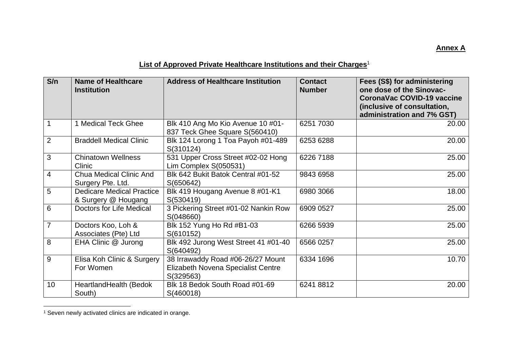## **Annex A**

## **List of Approved Private Healthcare Institutions and their Charges**<sup>1</sup>

| S/n            | <b>Name of Healthcare</b><br><b>Institution</b>         | <b>Address of Healthcare Institution</b>                                                    | <b>Contact</b><br><b>Number</b> | Fees (S\$) for administering<br>one dose of the Sinovac-<br><b>CoronaVac COVID-19 vaccine</b><br>(inclusive of consultation,<br>administration and 7% GST) |
|----------------|---------------------------------------------------------|---------------------------------------------------------------------------------------------|---------------------------------|------------------------------------------------------------------------------------------------------------------------------------------------------------|
| $\mathbf{1}$   | 1 Medical Teck Ghee                                     | Blk 410 Ang Mo Kio Avenue 10 #01-<br>837 Teck Ghee Square S(560410)                         | 6251 7030                       | 20.00                                                                                                                                                      |
| $\overline{2}$ | <b>Braddell Medical Clinic</b>                          | Blk 124 Lorong 1 Toa Payoh #01-489<br>S(310124)                                             | 6253 6288                       | 20.00                                                                                                                                                      |
| 3              | <b>Chinatown Wellness</b><br>Clinic                     | 531 Upper Cross Street #02-02 Hong<br>Lim Complex S(050531)                                 | 6226 7188                       | 25.00                                                                                                                                                      |
| $\overline{4}$ | <b>Chua Medical Clinic And</b><br>Surgery Pte. Ltd.     | Blk 642 Bukit Batok Central #01-52<br>S(650642)                                             | 9843 6958                       | 25.00                                                                                                                                                      |
| 5              | <b>Dedicare Medical Practice</b><br>& Surgery @ Hougang | Blk 419 Hougang Avenue 8 #01-K1<br>S(530419)                                                | 6980 3066                       | 18.00                                                                                                                                                      |
| 6              | Doctors for Life Medical                                | 3 Pickering Street #01-02 Nankin Row<br>S(048660)                                           | 6909 0527                       | 25.00                                                                                                                                                      |
| $\overline{7}$ | Doctors Koo, Loh &<br>Associates (Pte) Ltd              | Blk 152 Yung Ho Rd #B1-03<br>S(610152)                                                      | 6266 5939                       | 25.00                                                                                                                                                      |
| 8              | EHA Clinic @ Jurong                                     | Blk 492 Jurong West Street 41 #01-40<br>S(640492)                                           | 6566 0257                       | 25.00                                                                                                                                                      |
| 9              | Elisa Koh Clinic & Surgery<br>For Women                 | 38 Irrawaddy Road #06-26/27 Mount<br><b>Elizabeth Novena Specialist Centre</b><br>S(329563) | 6334 1696                       | 10.70                                                                                                                                                      |
| 10             | HeartlandHealth (Bedok<br>South)                        | Blk 18 Bedok South Road #01-69<br>S(460018)                                                 | 6241 8812                       | 20.00                                                                                                                                                      |

<sup>&</sup>lt;sup>1</sup> Seven newly activated clinics are indicated in orange.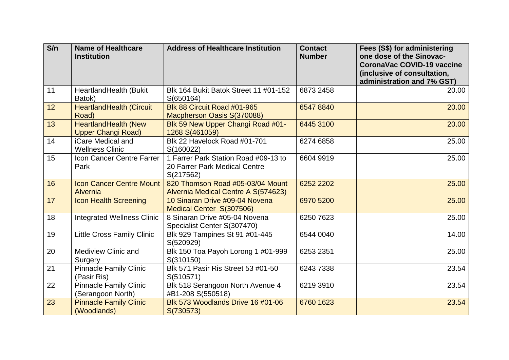| S/n | <b>Name of Healthcare</b><br><b>Institution</b>          | <b>Address of Healthcare Institution</b>                                           | <b>Contact</b><br><b>Number</b> | Fees (S\$) for administering<br>one dose of the Sinovac-<br><b>CoronaVac COVID-19 vaccine</b><br>(inclusive of consultation,<br>administration and 7% GST) |
|-----|----------------------------------------------------------|------------------------------------------------------------------------------------|---------------------------------|------------------------------------------------------------------------------------------------------------------------------------------------------------|
| 11  | HeartlandHealth (Bukit<br>Batok)                         | Blk 164 Bukit Batok Street 11 #01-152<br>S(650164)                                 | 6873 2458                       | 20.00                                                                                                                                                      |
| 12  | <b>HeartlandHealth (Circuit</b><br>Road)                 | Blk 88 Circuit Road #01-965<br>Macpherson Oasis S(370088)                          | 6547 8840                       | 20.00                                                                                                                                                      |
| 13  | <b>HeartlandHealth (New</b><br><b>Upper Changi Road)</b> | Blk 59 New Upper Changi Road #01-<br>1268 S(461059)                                | 6445 3100                       | 20.00                                                                                                                                                      |
| 14  | iCare Medical and<br><b>Wellness Clinic</b>              | Blk 22 Havelock Road #01-701<br>S(160022)                                          | 6274 6858                       | 25.00                                                                                                                                                      |
| 15  | Icon Cancer Centre Farrer<br>Park                        | 1 Farrer Park Station Road #09-13 to<br>20 Farrer Park Medical Centre<br>S(217562) | 6604 9919                       | 25.00                                                                                                                                                      |
| 16  | <b>Icon Cancer Centre Mount</b><br>Alvernia              | 820 Thomson Road #05-03/04 Mount<br>Alvernia Medical Centre A S(574623)            | 6252 2202                       | 25.00                                                                                                                                                      |
| 17  | <b>Icon Health Screening</b>                             | 10 Sinaran Drive #09-04 Novena<br>Medical Center S(307506)                         | 6970 5200                       | 25.00                                                                                                                                                      |
| 18  | <b>Integrated Wellness Clinic</b>                        | 8 Sinaran Drive #05-04 Novena<br>Specialist Center S(307470)                       | 6250 7623                       | 25.00                                                                                                                                                      |
| 19  | Little Cross Family Clinic                               | Blk 929 Tampines St 91 #01-445<br>S(520929)                                        | 6544 0040                       | 14.00                                                                                                                                                      |
| 20  | Mediview Clinic and<br>Surgery                           | Blk 150 Toa Payoh Lorong 1 #01-999<br>S(310150)                                    | 6253 2351                       | 25.00                                                                                                                                                      |
| 21  | <b>Pinnacle Family Clinic</b><br>(Pasir Ris)             | Blk 571 Pasir Ris Street 53 #01-50<br>S(510571)                                    | 6243 7338                       | 23.54                                                                                                                                                      |
| 22  | <b>Pinnacle Family Clinic</b><br>(Serangoon North)       | Blk 518 Serangoon North Avenue 4<br>#B1-208 S(550518)                              | 6219 3910                       | 23.54                                                                                                                                                      |
| 23  | <b>Pinnacle Family Clinic</b><br>(Woodlands)             | Blk 573 Woodlands Drive 16 #01-06<br>S(730573)                                     | 6760 1623                       | 23.54                                                                                                                                                      |